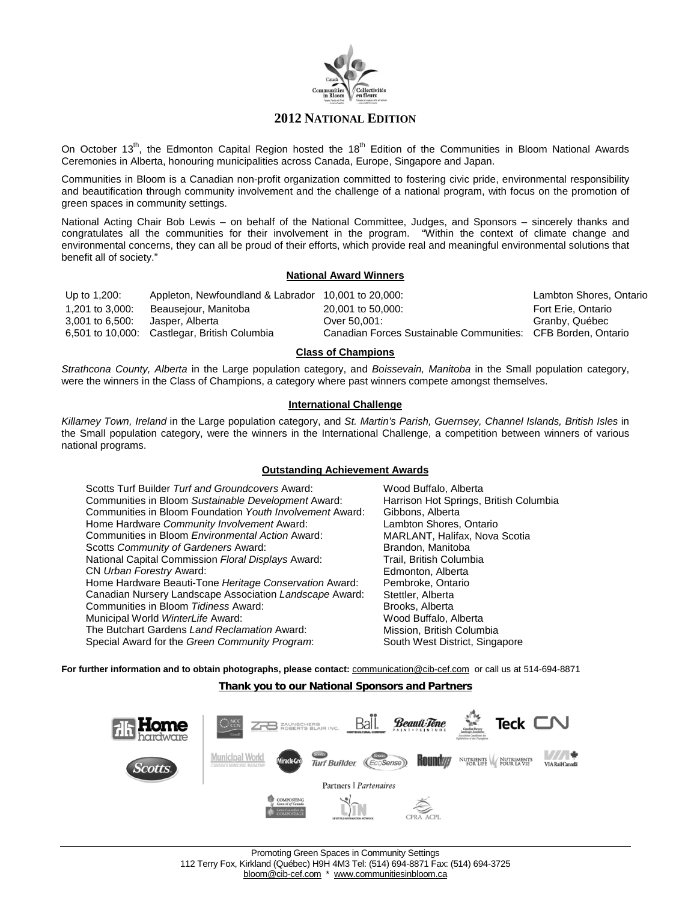

On October 13<sup>th</sup>, the Edmonton Capital Region hosted the 18<sup>th</sup> Edition of the Communities in Bloom National Awards Ceremonies in Alberta, honouring municipalities across Canada, Europe, Singapore and Japan.

Communities in Bloom is a Canadian non-profit organization committed to fostering civic pride, environmental responsibility and beautification through community involvement and the challenge of a national program, with focus on the promotion of green spaces in community settings.

National Acting Chair Bob Lewis – on behalf of the National Committee, Judges, and Sponsors – sincerely thanks and congratulates all the communities for their involvement in the program. "Within the context of climate change and environmental concerns, they can all be proud of their efforts, which provide real and meaningful environmental solutions that benefit all of society."

### **National Award Winners**

| Up to 1,200:    | Appleton, Newfoundland & Labrador 10,001 to 20,000: |                                                              | Lambton Shores, Ontario |
|-----------------|-----------------------------------------------------|--------------------------------------------------------------|-------------------------|
| 1.201 to 3.000: | Beausejour, Manitoba                                | 20,001 to 50,000:                                            | Fort Erie, Ontario      |
| 3,001 to 6,500: | Jasper. Alberta                                     | Over 50.001:                                                 | Granby, Québec          |
|                 | 6,501 to 10,000: Castlegar, British Columbia        | Canadian Forces Sustainable Communities: CFB Borden, Ontario |                         |

### **Class of Champions**

*Strathcona County, Alberta* in the Large population category, and *Boissevain, Manitoba* in the Small population category, were the winners in the Class of Champions, a category where past winners compete amongst themselves.

### **International Challenge**

*Killarney Town, Ireland* in the Large population category, and *St. Martin's Parish, Guernsey, Channel Islands, British Isles* in the Small population category, were the winners in the International Challenge, a competition between winners of various national programs.

### **Outstanding Achievement Awards**

| Scotts Turf Builder Turf and Groundcovers Award:         |
|----------------------------------------------------------|
| Communities in Bloom Sustainable Development Award:      |
| Communities in Bloom Foundation Youth Involvement Award: |
| Home Hardware Community Involvement Award:               |
| Communities in Bloom Environmental Action Award:         |
| Scotts Community of Gardeners Award:                     |
| National Capital Commission Floral Displays Award:       |
| CN Urban Forestry Award:                                 |
| Home Hardware Beauti-Tone Heritage Conservation Award:   |
| Canadian Nursery Landscape Association Landscape Award:  |
| Communities in Bloom Tidiness Award:                     |
| Municipal World WinterLife Award:                        |
| The Butchart Gardens Land Reclamation Award:             |
|                                                          |

Wood Buffalo, Alberta Harrison Hot Springs, British Columbia Gibbons, Alberta Lambton Shores, Ontario MARLANT, Halifax, Nova Scotia Brandon, Manitoba National Capital Commission *Floral Displays* Award: Trail, British Columbia Edmonton, Alberta Pembroke, Ontario Stettler, Alberta Brooks, Alberta Wood Buffalo, Alberta Mission, British Columbia Special Award for the *Green Community Program*: South West District, Singapore

For further information and to obtain photographs, please contact: **[communication@cib-cef.com](mailto:communication@cib-cef.com)** or call us at 514-694-8871

### **Thank you to our National Sponsors and Partners**

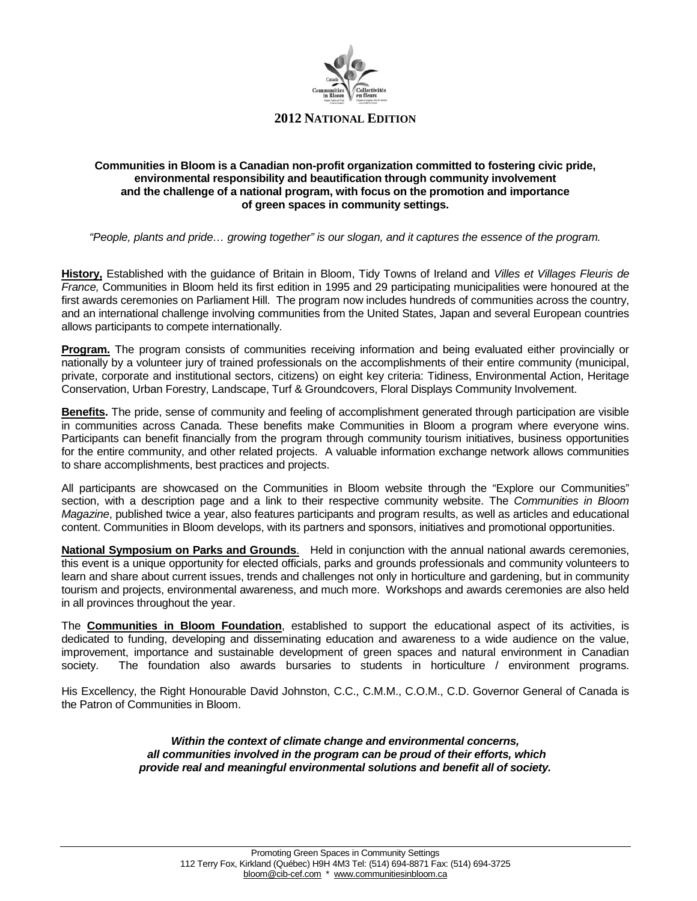

### **Communities in Bloom is a Canadian non-profit organization committed to fostering civic pride, environmental responsibility and beautification through community involvement and the challenge of a national program, with focus on the promotion and importance of green spaces in community settings.**

*"People, plants and pride… growing together" is our slogan, and it captures the essence of the program.*

**History,** Established with the guidance of Britain in Bloom, Tidy Towns of Ireland and *Villes et Villages Fleuris de France,* Communities in Bloom held its first edition in 1995 and 29 participating municipalities were honoured at the first awards ceremonies on Parliament Hill. The program now includes hundreds of communities across the country, and an international challenge involving communities from the United States, Japan and several European countries allows participants to compete internationally.

**Program.** The program consists of communities receiving information and being evaluated either provincially or nationally by a volunteer jury of trained professionals on the accomplishments of their entire community (municipal, private, corporate and institutional sectors, citizens) on eight key criteria: Tidiness, Environmental Action, Heritage Conservation, Urban Forestry, Landscape, Turf & Groundcovers, Floral Displays Community Involvement.

**Benefits.** The pride, sense of community and feeling of accomplishment generated through participation are visible in communities across Canada. These benefits make Communities in Bloom a program where everyone wins. Participants can benefit financially from the program through community tourism initiatives, business opportunities for the entire community, and other related projects. A valuable information exchange network allows communities to share accomplishments, best practices and projects.

All participants are showcased on the Communities in Bloom website through the "Explore our Communities" section, with a description page and a link to their respective community website. The *Communities in Bloom Magazine*, published twice a year, also features participants and program results, as well as articles and educational content. Communities in Bloom develops, with its partners and sponsors, initiatives and promotional opportunities.

**National Symposium on Parks and Grounds**. Held in conjunction with the annual national awards ceremonies, this event is a unique opportunity for elected officials, parks and grounds professionals and community volunteers to learn and share about current issues, trends and challenges not only in horticulture and gardening, but in community tourism and projects, environmental awareness, and much more. Workshops and awards ceremonies are also held in all provinces throughout the year.

The **Communities in Bloom Foundation**, established to support the educational aspect of its activities, is dedicated to funding, developing and disseminating education and awareness to a wide audience on the value, improvement, importance and sustainable development of green spaces and natural environment in Canadian society. The foundation also awards bursaries to students in horticulture / environment programs.

His Excellency, the Right Honourable David Johnston, C.C., C.M.M., C.O.M., C.D. Governor General of Canada is the Patron of Communities in Bloom.

> *Within the context of climate change and environmental concerns, all communities involved in the program can be proud of their efforts, which provide real and meaningful environmental solutions and benefit all of society.*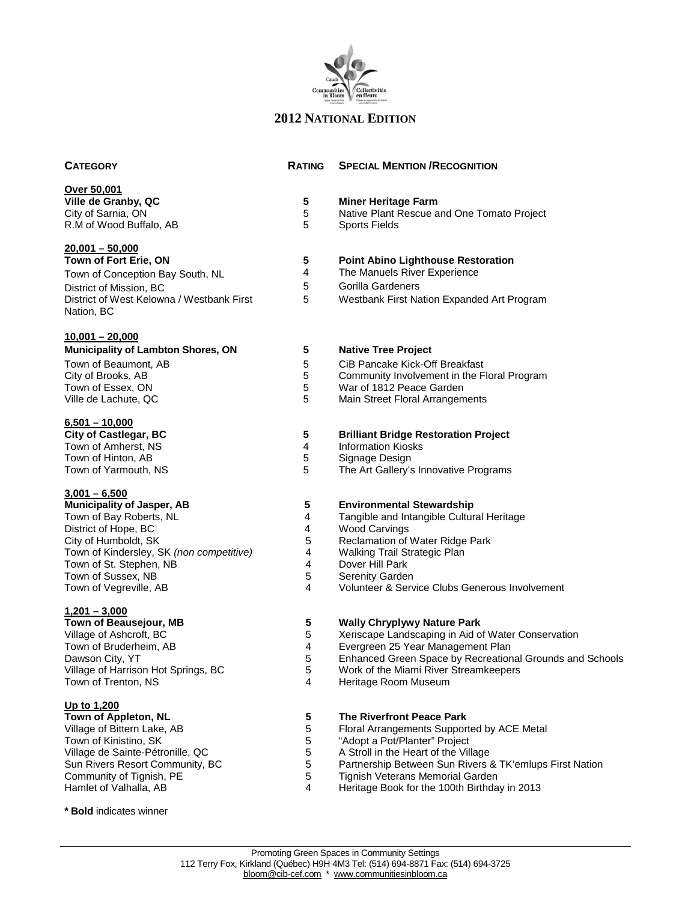

# **Over 50,001**

**Ville de Granby, QC 5 Miner Heritage Farm** R.M of Wood Buffalo, AB

## **20,001 – 50,000**

## **10,001 – 20,000**

## **Municipality of Lambton Shores, ON 5 Native Tree Project** Town of Beaumont, AB 6 CiB Pancake Kick-Off Breakfast<br>City of Brooks, AB 6 Community Involvement in the F City of Brooks, AB 6 Community Involvement in the Floral Program<br>
Town of Essex, ON 6 Community Involvement in the Floral Program<br>
5 War of 1812 Peace Garden Town of Essex, ON 6 November 2012 Peace Garden<br>
Ville de Lachute, QC 6 November 2013 10 Nain Street Floral Arrangem

## **6,501 – 10,000**  Town of Amherst, NS<br>
Town of Hinton, AB<br>
Town of Hinton, AB<br>
Town of Hinton, AB Town of Hinton, AB 5<br>Town of Yarmouth, NS 5

# **3,001 – 6,500**

## **1,201 – 3,000 Town of Beausejour, MB 5 19 Wally Chryplywy Nature Park**<br>
Village of Ashcroft, BC **19 <b>19 12 12 13 Tang 12** 2 Xeriscape Landscaping in Aid of Village of Ashcroft, BC 6 The State of Terminal Conservation<br>Town of Bruderheim. AB 1999 The State of Telecore of Terminal Conservation 4 Terminal Conservation Town of Bruderheim, AB 4 Evergreen 25 Year Management Plan Dawson City, YT<br>
Village of Harrison Hot Springs, BC<br>
5 Work of the Miami River Streamkeepers Village of Harrison Hot Springs, BC 5 Work of the Miami River Streamkeepers<br>Town of Trenton, NS 5 5 9 10 Heritage Room Museum

### **Up to 1,200**

| Town of Appleton, NL             |
|----------------------------------|
| Village of Bittern Lake, AB      |
| Town of Kinistino, SK            |
| Village de Sainte-Pétronille, QC |
| Sun Rivers Resort Community, BC  |
| Community of Tignish, PE         |
| Hamlet of Valhalla, AB           |
|                                  |

## **CATEGORY RATING SPECIAL MENTION /RECOGNITION**

- 5 Native Plant Rescue and One Tomato Project<br>5 Sports Fields
	-

## **The Manuels River Experience**<br> **The Manuels River Experience**

- 4 The Manuels River Experience<br>5 Gorilla Gardeners
- 5 Gorilla Gardeners<br>5 Westbank First Na
	- 5 Westbank First Nation Expanded Art Program

- 
- 
- 
- Main Street Floral Arrangements

# **5 Brilliant Bridge Restoration Project**<br>4 **Information Kiosks**

- 
- 
- The Art Gallery's Innovative Programs

# **Municipality of Stewardship**<br>**4 Tangible and Intangible Culture**

- 4 Tangible and Intangible Cultural Heritage<br>4 Wood Carvings
- 4 Wood Carvings<br>5 Reclamation of \
	- Reclamation of Water Ridge Park
- 4 **Walking Trail Strategic Plan**<br>4 Dover Hill Park
- 4 Dover Hill Park<br>5 Serenity Garder
- 5 Serenity Garden<br>4 Volunteer & Serv
	- Volunteer & Service Clubs Generous Involvement

- 
- 
- 
- 
- 4 Heritage Room Museum

### **5** The Riverfront Peace Park

- 5 Floral Arrangements Supported by ACE Metal<br>5 Floral Arrangements Troiect
- 5 "Adopt a Pot/Planter" Project<br>5 A Stroll in the Heart of the Vill
- 5 A Stroll in the Heart of the Village<br>5 Partnership Between Sun Rivers &
- 5 Partnership Between Sun Rivers & TK'emlups First Nation<br>5 Tignish Veterans Memorial Garden
- 5 Tignish Veterans Memorial Garden<br>4 Heritage Book for the 100th Birthda
	- Heritage Book for the 100th Birthday in 2013

**\* Bold** indicates winner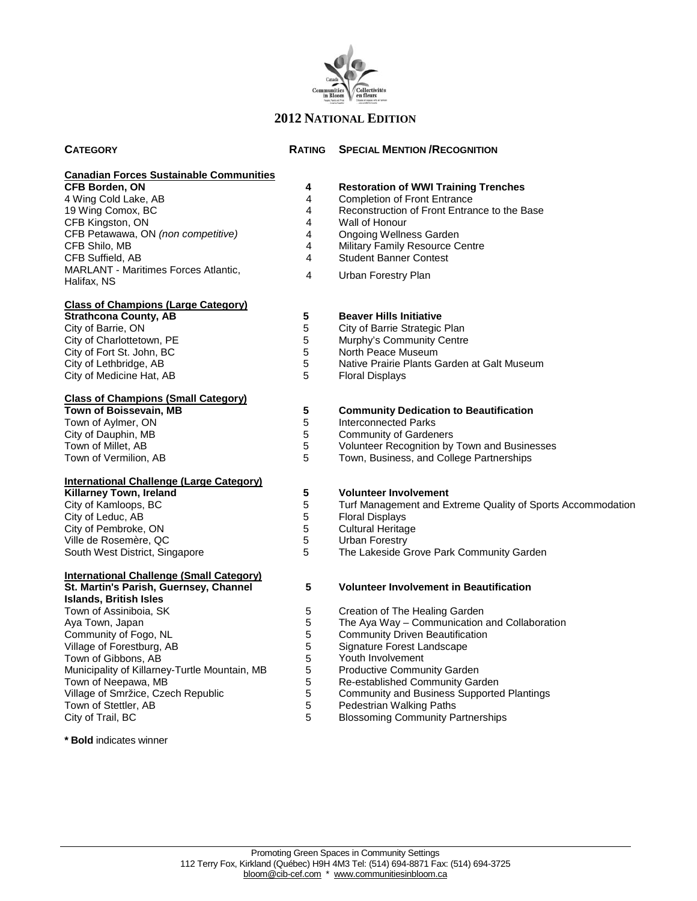

### **CATEGORY RATING SPECIAL MENTION /RECOGNITION**

|                       | Canadian Forces Sustainable Communities |
|-----------------------|-----------------------------------------|
| <b>CFB Borden, ON</b> |                                         |

#### **Class of Champions (Large Category)**

| <b>Strathcona County, AB</b> |
|------------------------------|
| City of Barrie, ON           |
| City of Charlottetown, PE    |
| City of Fort St. John, BC    |
| City of Lethbridge, AB       |
| City of Medicine Hat, AB     |
|                              |

#### **Class of Champions (Small Category)**

### **International Challenge (Large Category)**

| <b>Killarney Town, Ireland</b> |  |
|--------------------------------|--|
| City of Kamloops, BC           |  |
| City of Leduc, AB              |  |
| City of Pembroke, ON           |  |
| Ville de Rosemère, QC          |  |
| South West District, Singapore |  |

### **International Challenge (Small Category)**

| St. Martin's Parish, Guernsey, Channel        |
|-----------------------------------------------|
| Islands, British Isles                        |
| Town of Assiniboia, SK                        |
| Aya Town, Japan                               |
| Community of Fogo, NL                         |
| Village of Forestburg, AB                     |
| Town of Gibbons, AB                           |
| Municipality of Killarney-Turtle Mountain, MB |
| Town of Neepawa, MB                           |
| Village of Smržice, Czech Republic            |
| Town of Stettler, AB                          |
| City of Trail, BC                             |
|                                               |

### **\* Bold** indicates winner

- **4 Restoration of WWI Training Trenches**<br>**4 Completion of Front Entrance**
- 4 Completion of Front Entrance<br>4 Reconstruction of Front Entran
- 19 Reconstruction of Front Entrance to the Base<br>4 Wall of Honour
- 4 Wall of Honour<br>4 Ongoing Wellne
	- **Ongoing Wellness Garden**
- 4 Military Family Resource Centre<br>4 Student Banner Contest
	- **Student Banner Contest**
- 4 Urban Forestry Plan

## **5 Beaver Hills Initiative**<br>**5 City of Barrie Strategic**

- 5 City of Barrie Strategic Plan<br>5 Murphy's Community Centre
- 5 Murphy's Community Centre<br>5 North Peace Museum
	-
- 5 North Peace Museum<br>5 Native Prairie Plants G 5 Native Prairie Plants Garden at Galt Museum<br>5 Floral Displays
	- Floral Displays

#### **5 Community Dedication to Beautification**

- 5 Interconnected Parks<br>5 Community of Garden
- 5 Community of Gardeners<br>5 Volunteer Recognition by
- 5 Volunteer Recognition by Town and Businesses<br>5 Town. Business. and College Partnerships
	- Town, Business, and College Partnerships

# **5 Volunteer Involvement**<br>5 **Turf Management and Example**

- 5 Turf Management and Extreme Quality of Sports Accommodation<br>5 Floral Displays
- 5 Floral Displays<br>5 Cultural Heritac
	- Cultural Heritage
- 5 Urban Forestry<br>5 The Lakeside G
	- The Lakeside Grove Park Community Garden

### **5 Volunteer Involvement in Beautification**

- 5 Creation of The Healing Garden<br>5 The Ava Way Communication a
- 5 The Aya Way Communication and Collaboration<br>5 Community Driven Beautification
- 5 Community Driven Beautification<br>5 Signature Forest Landscape
- 5 Signature Forest Landscape<br>5 Youth Involvement
- 5 Youth Involvement<br>5 Productive Commu
- 5 Productive Community Garden<br>5 Re-established Community Gar
- 5 Re-established Community Garden<br>5 Community and Business Supported
- 5 Community and Business Supported Plantings<br>5 Pedestrian Walking Paths
- 5 Pedestrian Walking Paths<br>5 Blossoming Community Pa
	- Blossoming Community Partnerships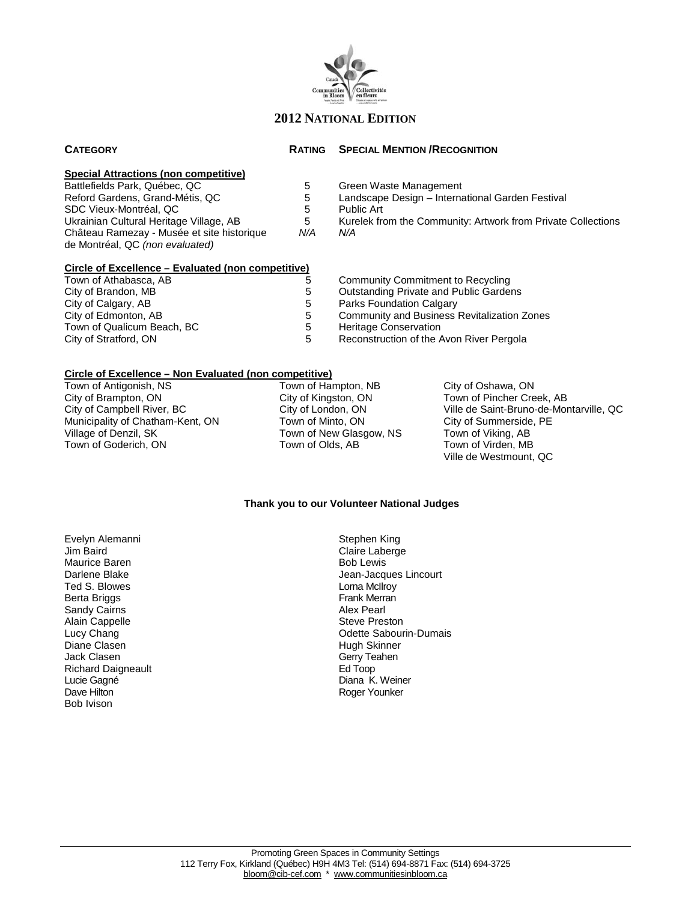

### **CATEGORY RATING SPECIAL MENTION /RECOGNITION**

#### **Special Attractions (non competitive)**

Battlefields Park, Québec, QC<br>
Reford Gardens, Grand-Métis, QC<br>
5 Landscape Design – Interna SDC Vieux-Montréal, QC<br>
Ukrainian Cultural Heritage Village, AB 5 Kurelek from Château Ramezay - Musée et site historique de Montréal, QC *(non evaluated)*

# **Circle of Excellence – Evaluated (non competitive)**

Town of Athabasca, AB 6 1 2008 10 5 1 Community Commitment to Recycling<br>
City of Brandon, MB 1 2008 1 2008 1 2008 1 2008 1 2008 2 2008 2 2008 2 2009 2 2008 2 2009 2 2009 2 2009 2 20 City of Brandon, MB<br>
City of Calgary, AB

City of Calgary, AB

City of Calgary, AB

City of Calgary, AB

City of Calgary, AB

City of Calgary, AB

City of Calgary, AB

City of Calgary, AB

City of Calgary, AB

City of Calg City of Calgary, AB 6 1991 1 2012 1 5 Parks Foundation Calgary<br>City of Edmonton, AB 6 1991 1 5 Community and Business Town of Qualicum Beach, BC<br>
City of Stratford, ON 
S Reconstruction of the A

- Landscape Design International Garden Festival
- 
- 5 Kurelek from the Community: Artwork from Private Collections<br>N/A N/A
	- *N/A N/A*
		-
		-
	-
	- Community and Business Revitalization Zones
	-
	- Reconstruction of the Avon River Pergola

### **Circle of Excellence – Non Evaluated (non competitive)**

Town of Antigonish, NS Town of Hampton, NB City of Oshawa, ON City of Princher Cre<br>City of Brampton, ON City of Kingston, ON Town of Pincher Cre City of Brampton, ON City of Kingston, ON Town of Pincher Creek, AB<br>
City of Campbell River, BC City of London, ON Ville de Saint-Bruno-de-Mor Municipality of Chatham-Kent, ON Town of Minto, ON City of Summerside<br>Village of Denzil, SK Town of New Glasgow, NS Town of Viking, AB Town of Goderich, ON

Town of New Glasgow, NS Town of Viking, AB<br>Town of Olds, AB Town of Virden, MB

City of London, ON Ville de Saint-Bruno-de-Montarville, QC<br>
Town of Minto, ON City of Summerside, PE Ville de Westmount, QC

### **Thank you to our Volunteer National Judges**

Evelyn Alemanni Stephen King Maurice Baren<br>Darlene Blake Ted S. Blowes Lorna McIlroy Berta Briggs Frank Merrand Communications of the Sandy Cairns of Translations of the Sandy Cairns of the Sandy<br>Frank Merrand Cairns Frank Merrand Communications of the Sandy Cairns of the Sandy Cairns of the Sandy Cairns Sandy Cairns Alain Cappelle **Steve Preston** Steve Preston Diane Clasen North Clasen (1999)<br>
University Server Server Clasen (1999)<br>
Diane Clasen (1999)<br>
Diane Clasen (1999) Richard Daigneault Lucie Gagné Diana K. Weiner Bob Ivison

Claire Laberge<br>Bob Lewis Jean-Jacques Lincourt<br>Lorna McIlrov Lucy Chang **Chang Community Community Community Community Community Community Community Community Community Community Community Change Change Change Change Change Change Change Change Change Change Change Change Change Cha** Gerry Teahen<br>Ed Toop Roger Younker